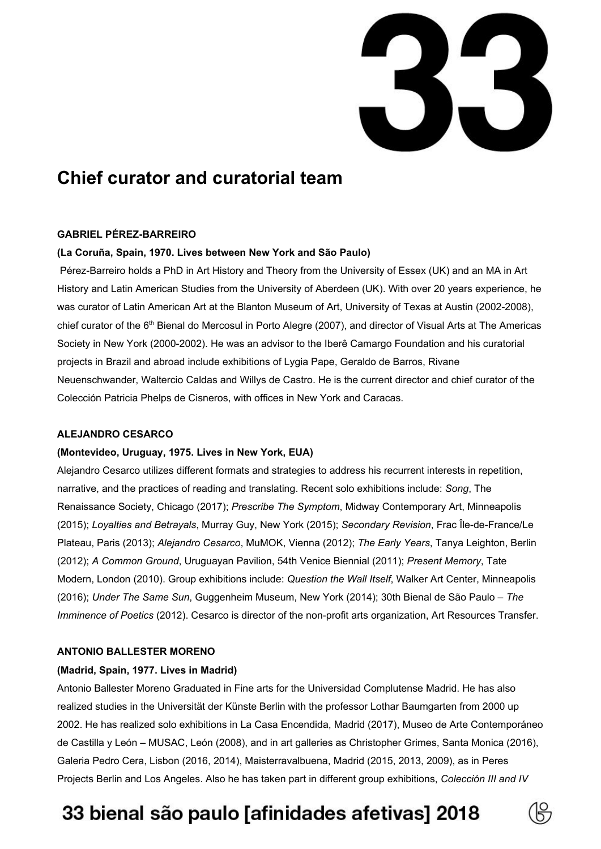

## **Chief curator and curatorial team**

## **GABRIEL PÉREZ-BARREIRO**

## **(La Coruña, Spain, 1970. Lives between New York and São Paulo)**

Pérez-Barreiro holds a PhD in Art History and Theory from the University of Essex (UK) and an MA in Art History and Latin American Studies from the University of Aberdeen (UK). With over 20 years experience, he was curator of Latin American Art at the Blanton Museum of Art, University of Texas at Austin (2002-2008), chief curator of the 6<sup>th</sup> Bienal do Mercosul in Porto Alegre (2007), and director of Visual Arts at The Americas Society in New York (2000-2002). He was an advisor to the Iberê Camargo Foundation and his curatorial projects in Brazil and abroad include exhibitions of Lygia Pape, Geraldo de Barros, Rivane Neuenschwander, Waltercio Caldas and Willys de Castro. He is the current director and chief curator of the Colección Patricia Phelps de Cisneros, with offices in New York and Caracas.

### **ALEJANDRO CESARCO**

#### **(Montevideo, Uruguay, 1975. Lives in New York, EUA)**

Alejandro Cesarco utilizes different formats and strategies to address his recurrent interests in repetition, narrative, and the practices of reading and translating. Recent solo exhibitions include: *Song*, The Renaissance Society, Chicago (2017); *Prescribe The Symptom*, Midway Contemporary Art, Minneapolis (2015); *Loyalties and Betrayals*, Murray Guy, New York (2015); *Secondary Revision*, Frac Île-de-France/Le Plateau, Paris (2013); *Alejandro Cesarco*, MuMOK, Vienna (2012); *The Early Years*, Tanya Leighton, Berlin (2012); *A Common Ground*, Uruguayan Pavilion, 54th Venice Biennial (2011); *Present Memory*, Tate Modern, London (2010). Group exhibitions include: *Question the Wall Itself*, Walker Art Center, Minneapolis (2016); *Under The Same Sun*, Guggenheim Museum, New York (2014); 30th Bienal de São Paulo – *The Imminence of Poetics* (2012). Cesarco is director of the non-profit arts organization, Art Resources Transfer.

## **ANTONIO BALLESTER MORENO**

#### **(Madrid, Spain, 1977. Lives in Madrid)**

Antonio Ballester Moreno Graduated in Fine arts for the Universidad Complutense Madrid. He has also realized studies in the Universität der Künste Berlin with the professor Lothar Baumgarten from 2000 up 2002. He has realized solo exhibitions in La Casa Encendida, Madrid (2017), Museo de Arte Contemporáneo de Castilla y León – MUSAC, León (2008), and in art galleries as Christopher Grimes, Santa Monica (2016), Galeria Pedro Cera, Lisbon (2016, 2014), Maisterravalbuena, Madrid (2015, 2013, 2009), as in Peres Projects Berlin and Los Angeles. Also he has taken part in different group exhibitions, *Colección III and IV*

# 33 bienal são paulo [afinidades afetivas] 2018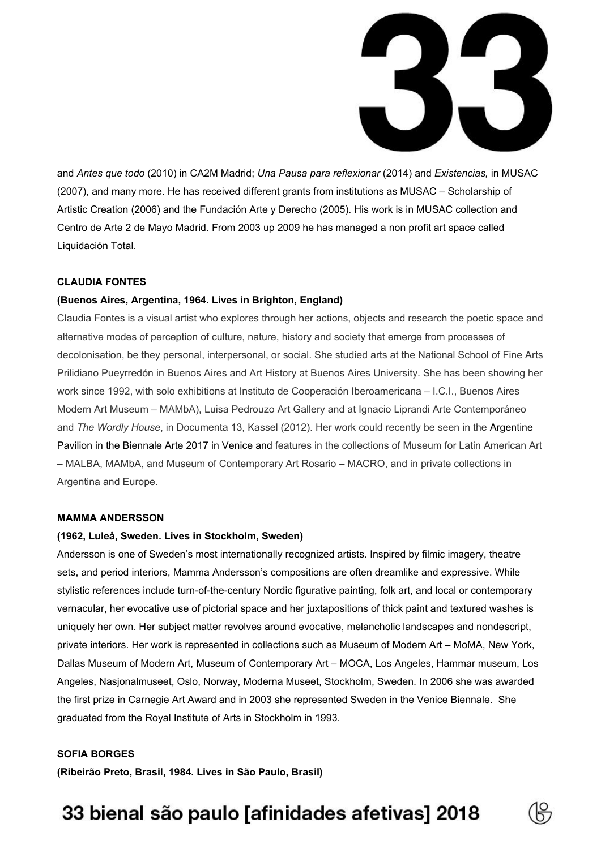

and *Antes que todo* (2010) in CA2M Madrid; *Una Pausa para reflexionar* (2014) and *Existencias,* in MUSAC (2007), and many more. He has received different grants from institutions as MUSAC – Scholarship of Artistic Creation (2006) and the Fundación Arte y Derecho (2005). His work is in MUSAC collection and Centro de Arte 2 de Mayo Madrid. From 2003 up 2009 he has managed a non profit art space called Liquidación Total.

## **CLAUDIA FONTES**

## **(Buenos Aires, Argentina, 1964. Lives in Brighton, England)**

Claudia Fontes is a visual artist who explores through her actions, objects and research the poetic space and alternative modes of perception of culture, nature, history and society that emerge from processes of decolonisation, be they personal, interpersonal, or social. She studied arts at the National School of Fine Arts Prilidiano Pueyrredón in Buenos Aires and Art History at Buenos Aires University. She has been showing her work since 1992, with solo exhibitions at Instituto de Cooperación Iberoamericana – I.C.I., Buenos Aires Modern Art Museum – MAMbA), Luisa Pedrouzo Art Gallery and at Ignacio Liprandi Arte Contemporáneo and *The Wordly House*, in Documenta 13, Kassel (2012). Her work could recently be seen in the Argentine Pavilion in the Biennale Arte 2017 in Venice and features in the collections of Museum for Latin American Art – MALBA, MAMbA, and Museum of Contemporary Art Rosario – MACRO, and in private collections in Argentina and Europe.

#### **MAMMA ANDERSSON**

#### **(1962, Luleå, Sweden. Lives in Stockholm, Sweden)**

Andersson is one of Sweden's most internationally recognized artists. Inspired by filmic imagery, theatre sets, and period interiors, Mamma Andersson's compositions are often dreamlike and expressive. While stylistic references include turn-of-the-century Nordic figurative painting, folk art, and local or contemporary vernacular, her evocative use of pictorial space and her juxtapositions of thick paint and textured washes is uniquely her own. Her subject matter revolves around evocative, melancholic landscapes and nondescript, private interiors. Her work is represented in collections such as Museum of Modern Art – MoMA, New York, Dallas Museum of Modern Art, Museum of Contemporary Art – MOCA, Los Angeles, Hammar museum, Los Angeles, Nasjonalmuseet, Oslo, Norway, Moderna Museet, Stockholm, Sweden. In 2006 she was awarded the first prize in Carnegie Art Award and in 2003 she represented Sweden in the Venice Biennale. She graduated from the Royal Institute of Arts in Stockholm in 1993.

## **SOFIA BORGES**

**(Ribeirão Preto, Brasil, 1984. Lives in São Paulo, Brasil)**

# 33 bienal são paulo [afinidades afetivas] 2018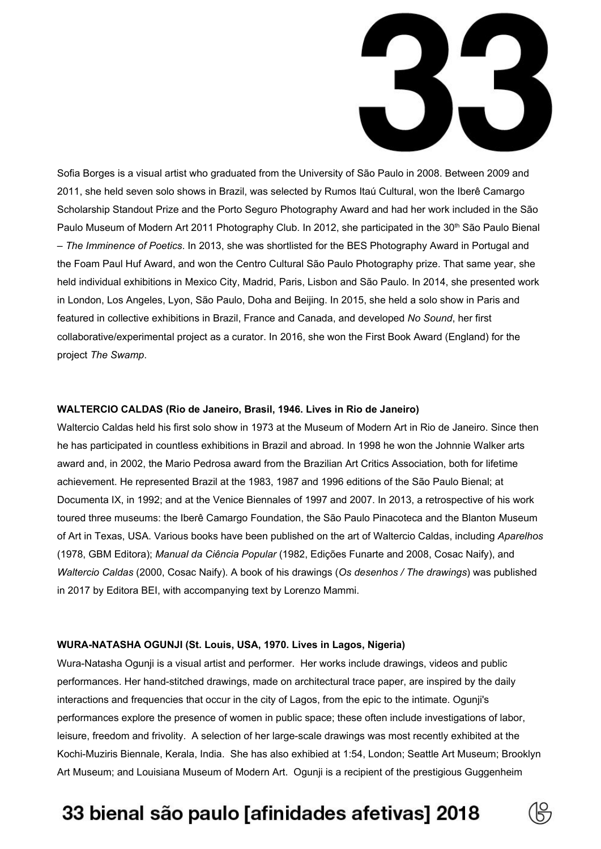

Sofia Borges is a visual artist who graduated from the University of São Paulo in 2008. Between 2009 and 2011, she held seven solo shows in Brazil, was selected by Rumos Itaú Cultural, won the Iberê Camargo Scholarship Standout Prize and the Porto Seguro Photography Award and had her work included in the São Paulo Museum of Modern Art 2011 Photography Club. In 2012, she participated in the 30<sup>th</sup> São Paulo Bienal – *The Imminence of Poetics*. In 2013, she was shortlisted for the BES Photography Award in Portugal and the Foam Paul Huf Award, and won the Centro Cultural São Paulo Photography prize. That same year, she held individual exhibitions in Mexico City, Madrid, Paris, Lisbon and São Paulo. In 2014, she presented work in London, Los Angeles, Lyon, São Paulo, Doha and Beijing. In 2015, she held a solo show in Paris and featured in collective exhibitions in Brazil, France and Canada, and developed *No Sound*, her first collaborative/experimental project as a curator. In 2016, she won the First Book Award (England) for the project *The Swamp*.

#### **WALTERCIO CALDAS (Rio de Janeiro, Brasil, 1946. Lives in Rio de Janeiro)**

Waltercio Caldas held his first solo show in 1973 at the Museum of Modern Art in Rio de Janeiro. Since then he has participated in countless exhibitions in Brazil and abroad. In 1998 he won the Johnnie Walker arts award and, in 2002, the Mario Pedrosa award from the Brazilian Art Critics Association, both for lifetime achievement. He represented Brazil at the 1983, 1987 and 1996 editions of the São Paulo Bienal; at Documenta IX, in 1992; and at the Venice Biennales of 1997 and 2007. In 2013, a retrospective of his work toured three museums: the Iberê Camargo Foundation, the São Paulo Pinacoteca and the Blanton Museum of Art in Texas, USA. Various books have been published on the art of Waltercio Caldas, including *Aparelhos* (1978, GBM Editora); *Manual da Ciência Popular* (1982, Edições Funarte and 2008, Cosac Naify), and *Waltercio Caldas* (2000, Cosac Naify). A book of his drawings (*Os desenhos / The drawings*) was published in 2017 by Editora BEI, with accompanying text by Lorenzo Mammi.

#### **WURA-NATASHA OGUNJI (St. Louis, USA, 1970. Lives in Lagos, Nigeria)**

Wura-Natasha Ogunji is a visual artist and performer. Her works include drawings, videos and public performances. Her hand-stitched drawings, made on architectural trace paper, are inspired by the daily interactions and frequencies that occur in the city of Lagos, from the epic to the intimate. Ogunji's performances explore the presence of women in public space; these often include investigations of labor, leisure, freedom and frivolity. A selection of her large-scale drawings was most recently exhibited at the Kochi-Muziris Biennale, Kerala, India. She has also exhibied at 1:54, London; Seattle Art Museum; Brooklyn Art Museum; and Louisiana Museum of Modern Art. Ogunji is a recipient of the prestigious Guggenheim

## 33 bienal são paulo [afinidades afetivas] 2018